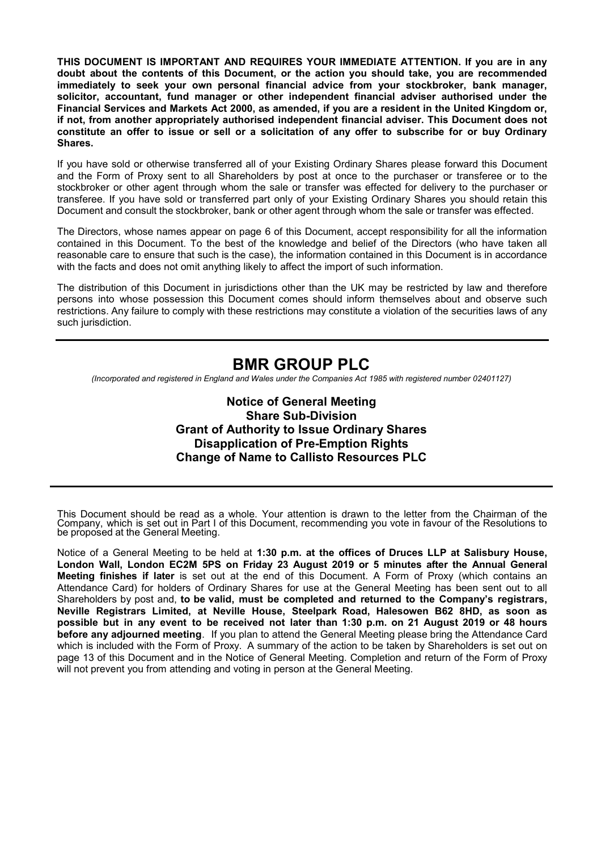**THIS DOCUMENT IS IMPORTANT AND REQUIRES YOUR IMMEDIATE ATTENTION. If you are in any doubt about the contents of this Document, or the action you should take, you are recommended immediately to seek your own personal financial advice from your stockbroker, bank manager, solicitor, accountant, fund manager or other independent financial adviser authorised under the Financial Services and Markets Act 2000, as amended, if you are a resident in the United Kingdom or, if not, from another appropriately authorised independent financial adviser. This Document does not constitute an offer to issue or sell or a solicitation of any offer to subscribe for or buy Ordinary Shares.**

If you have sold or otherwise transferred all of your Existing Ordinary Shares please forward this Document and the Form of Proxy sent to all Shareholders by post at once to the purchaser or transferee or to the stockbroker or other agent through whom the sale or transfer was effected for delivery to the purchaser or transferee. If you have sold or transferred part only of your Existing Ordinary Shares you should retain this Document and consult the stockbroker, bank or other agent through whom the sale or transfer was effected.

The Directors, whose names appear on page 6 of this Document, accept responsibility for all the information contained in this Document. To the best of the knowledge and belief of the Directors (who have taken all reasonable care to ensure that such is the case), the information contained in this Document is in accordance with the facts and does not omit anything likely to affect the import of such information.

The distribution of this Document in jurisdictions other than the UK may be restricted by law and therefore persons into whose possession this Document comes should inform themselves about and observe such restrictions. Any failure to comply with these restrictions may constitute a violation of the securities laws of any such jurisdiction.

# **BMR GROUP PLC**

*(Incorporated and registered in England and Wales under the Companies Act 1985 with registered number 02401127)*

**Notice of General Meeting Share Sub-Division Grant of Authority to Issue Ordinary Shares Disapplication of Pre-Emption Rights Change of Name to Callisto Resources PLC** 

This Document should be read as a whole. Your attention is drawn to the letter from the Chairman of the Company, which is set out in Part I of this Document, recommending you vote in favour of the Resolutions to be proposed at the General Meeting.

Notice of a General Meeting to be held at **1:30 p.m. at the offices of Druces LLP at Salisbury House, London Wall, London EC2M 5PS on Friday 23 August 2019 or 5 minutes after the Annual General Meeting finishes if later** is set out at the end of this Document. A Form of Proxy (which contains an Attendance Card) for holders of Ordinary Shares for use at the General Meeting has been sent out to all Shareholders by post and, **to be valid, must be completed and returned to the Company's registrars, Neville Registrars Limited, at Neville House, Steelpark Road, Halesowen B62 8HD, as soon as possible but in any event to be received not later than 1:30 p.m. on 21 August 2019 or 48 hours before any adjourned meeting**. If you plan to attend the General Meeting please bring the Attendance Card which is included with the Form of Proxy. A summary of the action to be taken by Shareholders is set out on page 13 of this Document and in the Notice of General Meeting. Completion and return of the Form of Proxy will not prevent you from attending and voting in person at the General Meeting.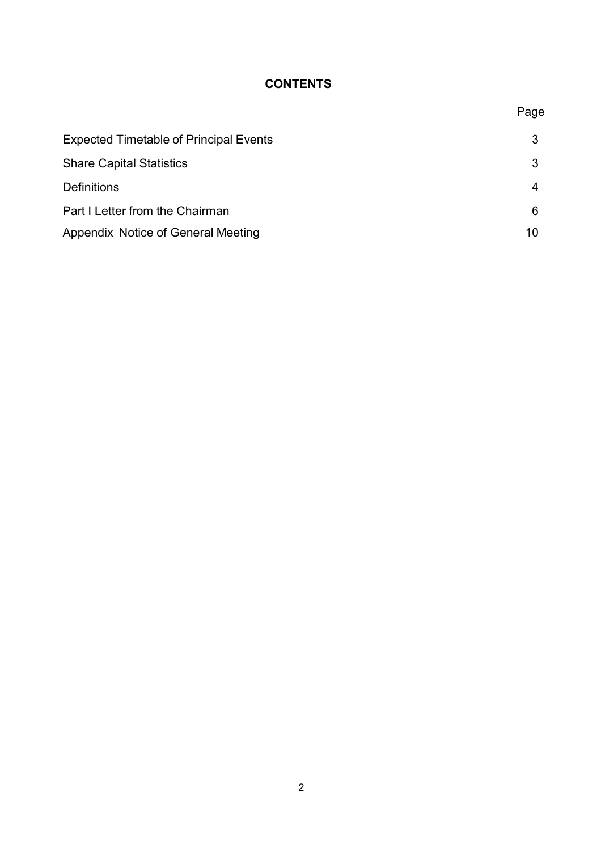# **CONTENTS**

Page

| <b>Expected Timetable of Principal Events</b> | 3  |
|-----------------------------------------------|----|
| <b>Share Capital Statistics</b>               | 3  |
| <b>Definitions</b>                            | 4  |
| Part I Letter from the Chairman               | 6  |
| Appendix Notice of General Meeting            | 10 |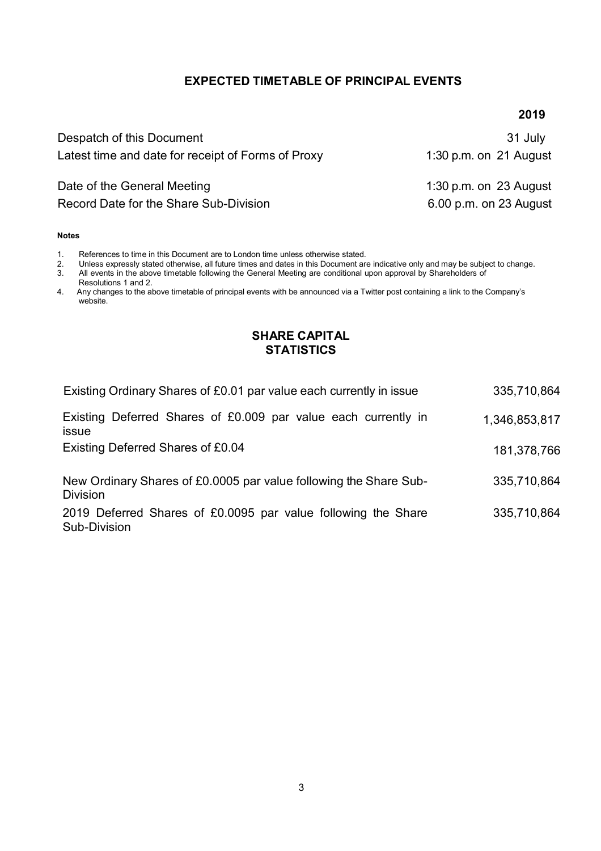### **EXPECTED TIMETABLE OF PRINCIPAL EVENTS**

#### **2019**

| Despatch of this Document<br>Latest time and date for receipt of Forms of Proxy | 31 July<br>1:30 p.m. on 21 August |
|---------------------------------------------------------------------------------|-----------------------------------|
| Date of the General Meeting                                                     | 1:30 p.m. on $23$ August          |
| Record Date for the Share Sub-Division                                          | 6.00 p.m. on 23 August            |

#### **Notes**

1. References to time in this Document are to London time unless otherwise stated.<br>2. Unless expressly stated otherwise, all future times and dates in this Document are

2. Unless expressly stated otherwise, all future times and dates in this Document are indicative only and may be subject to change.<br>3. All events in the above timetable following the General Meeting are conditional upon ap 3. All events in the above timetable following the General Meeting are conditional upon approval by Shareholders of

Resolutions 1 and 2.

4. Any changes to the above timetable of principal events with be announced via a Twitter post containing a link to the Company's website.

#### **SHARE CAPITAL STATISTICS**

| Existing Ordinary Shares of £0.01 par value each currently in issue                  | 335,710,864   |
|--------------------------------------------------------------------------------------|---------------|
| Existing Deferred Shares of £0.009 par value each currently in<br><b>issue</b>       | 1,346,853,817 |
| Existing Deferred Shares of £0.04                                                    | 181,378,766   |
| New Ordinary Shares of £0.0005 par value following the Share Sub-<br><b>Division</b> | 335,710,864   |

2019 Deferred Shares of £0.0095 par value following the Share Sub-Division 335,710,864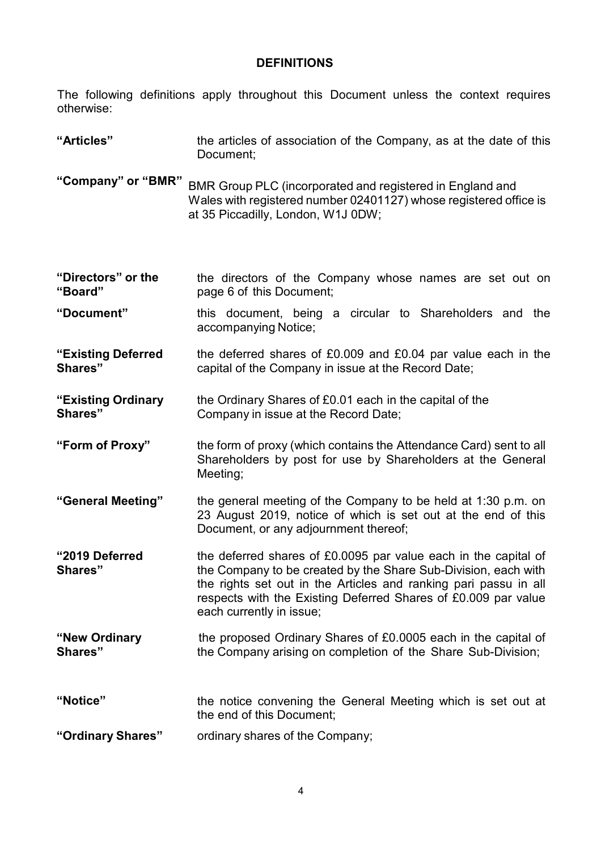# **DEFINITIONS**

The following definitions apply throughout this Document unless the context requires otherwise:

| "Articles"                    | the articles of association of the Company, as at the date of this<br>Document;                                                                                                                                                                                                                     |
|-------------------------------|-----------------------------------------------------------------------------------------------------------------------------------------------------------------------------------------------------------------------------------------------------------------------------------------------------|
| "Company" or "BMR"            | BMR Group PLC (incorporated and registered in England and<br>Wales with registered number 02401127) whose registered office is<br>at 35 Piccadilly, London, W1J 0DW;                                                                                                                                |
| "Directors" or the<br>"Board" | the directors of the Company whose names are set out on<br>page 6 of this Document;                                                                                                                                                                                                                 |
| "Document"                    | this document, being a circular to Shareholders and the<br>accompanying Notice;                                                                                                                                                                                                                     |
| "Existing Deferred<br>Shares" | the deferred shares of £0.009 and £0.04 par value each in the<br>capital of the Company in issue at the Record Date;                                                                                                                                                                                |
| "Existing Ordinary<br>Shares" | the Ordinary Shares of £0.01 each in the capital of the<br>Company in issue at the Record Date;                                                                                                                                                                                                     |
| "Form of Proxy"               | the form of proxy (which contains the Attendance Card) sent to all<br>Shareholders by post for use by Shareholders at the General<br>Meeting;                                                                                                                                                       |
| "General Meeting"             | the general meeting of the Company to be held at 1:30 p.m. on<br>23 August 2019, notice of which is set out at the end of this<br>Document, or any adjournment thereof;                                                                                                                             |
| "2019 Deferred<br>Shares"     | the deferred shares of £0.0095 par value each in the capital of<br>the Company to be created by the Share Sub-Division, each with<br>the rights set out in the Articles and ranking pari passu in all<br>respects with the Existing Deferred Shares of £0.009 par value<br>each currently in issue; |
| "New Ordinary<br>Shares"      | the proposed Ordinary Shares of £0.0005 each in the capital of<br>the Company arising on completion of the Share Sub-Division;                                                                                                                                                                      |
| "Notice"                      | the notice convening the General Meeting which is set out at<br>the end of this Document;                                                                                                                                                                                                           |
| "Ordinary Shares"             | ordinary shares of the Company;                                                                                                                                                                                                                                                                     |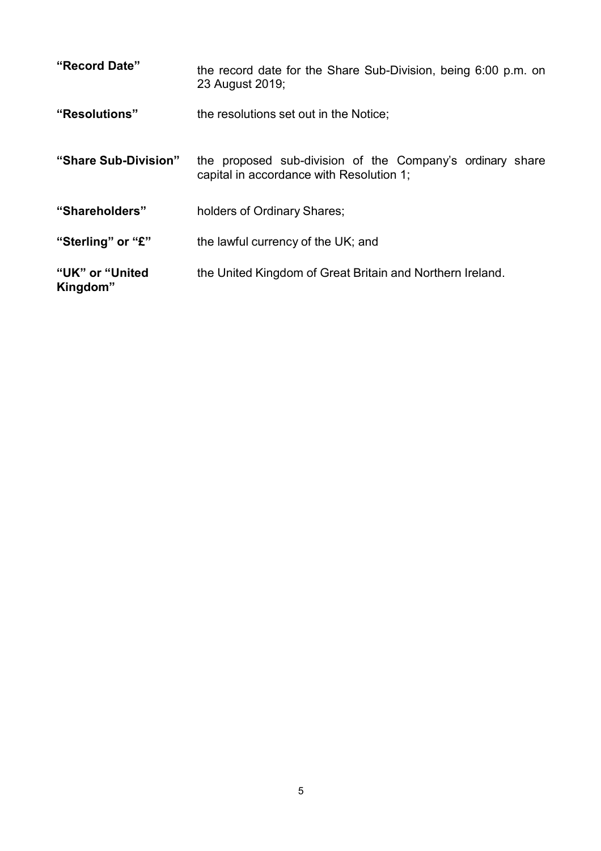| "Record Date"                | the record date for the Share Sub-Division, being 6:00 p.m. on<br>23 August 2019;                     |
|------------------------------|-------------------------------------------------------------------------------------------------------|
| "Resolutions"                | the resolutions set out in the Notice;                                                                |
| "Share Sub-Division"         | the proposed sub-division of the Company's ordinary share<br>capital in accordance with Resolution 1; |
| "Shareholders"               | holders of Ordinary Shares;                                                                           |
| "Sterling" or "£"            | the lawful currency of the UK; and                                                                    |
| "UK" or "United"<br>Kingdom" | the United Kingdom of Great Britain and Northern Ireland.                                             |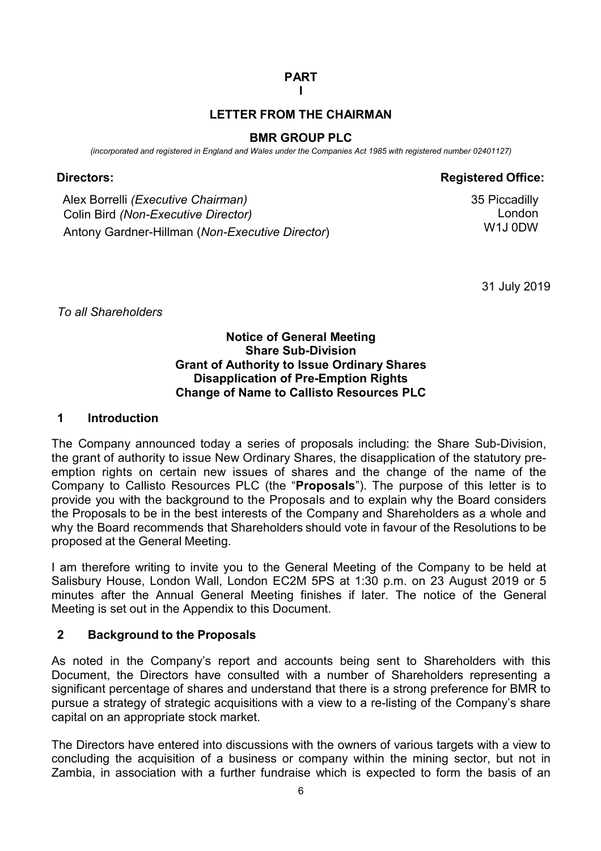# **PART**

#### **I**

### **LETTER FROM THE CHAIRMAN**

#### **BMR GROUP PLC**

*(incorporated and registered in England and Wales under the Companies Act 1985 with registered number 02401127)* 

## **Directors: Registered Office: Registered** Office:

Alex Borrelli *(Executive Chairman)* 35 Piccadilly Colin Bird *(Non-Executive Director)* Antony Gardner-Hillman (*Non-Executive Director*)

London W1J 0DW

31 July 2019

*To all Shareholders*

#### **Notice of General Meeting Share Sub-Division Grant of Authority to Issue Ordinary Shares Disapplication of Pre-Emption Rights Change of Name to Callisto Resources PLC**

#### **1 Introduction**

The Company announced today a series of proposals including: the Share Sub-Division, the grant of authority to issue New Ordinary Shares, the disapplication of the statutory preemption rights on certain new issues of shares and the change of the name of the Company to Callisto Resources PLC (the "**Proposals**"). The purpose of this letter is to provide you with the background to the Proposals and to explain why the Board considers the Proposals to be in the best interests of the Company and Shareholders as a whole and why the Board recommends that Shareholders should vote in favour of the Resolutions to be proposed at the General Meeting.

I am therefore writing to invite you to the General Meeting of the Company to be held at Salisbury House, London Wall, London EC2M 5PS at 1:30 p.m. on 23 August 2019 or 5 minutes after the Annual General Meeting finishes if later. The notice of the General Meeting is set out in the Appendix to this Document.

## **2 Background to the Proposals**

As noted in the Company's report and accounts being sent to Shareholders with this Document, the Directors have consulted with a number of Shareholders representing a significant percentage of shares and understand that there is a strong preference for BMR to pursue a strategy of strategic acquisitions with a view to a re-listing of the Company's share capital on an appropriate stock market.

The Directors have entered into discussions with the owners of various targets with a view to concluding the acquisition of a business or company within the mining sector, but not in Zambia, in association with a further fundraise which is expected to form the basis of an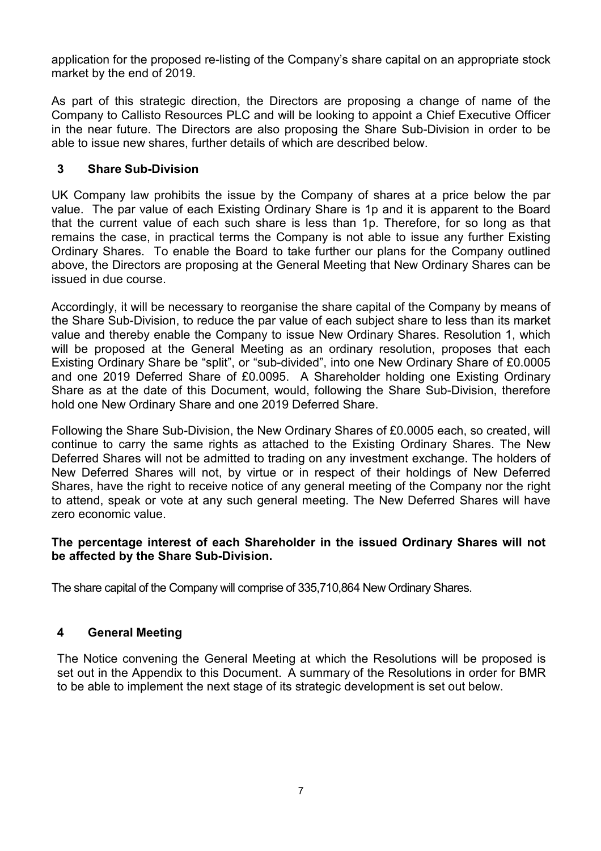application for the proposed re-listing of the Company's share capital on an appropriate stock market by the end of 2019.

As part of this strategic direction, the Directors are proposing a change of name of the Company to Callisto Resources PLC and will be looking to appoint a Chief Executive Officer in the near future. The Directors are also proposing the Share Sub-Division in order to be able to issue new shares, further details of which are described below.

### **3 Share Sub-Division**

UK Company law prohibits the issue by the Company of shares at a price below the par value. The par value of each Existing Ordinary Share is 1p and it is apparent to the Board that the current value of each such share is less than 1p. Therefore, for so long as that remains the case, in practical terms the Company is not able to issue any further Existing Ordinary Shares. To enable the Board to take further our plans for the Company outlined above, the Directors are proposing at the General Meeting that New Ordinary Shares can be issued in due course.

Accordingly, it will be necessary to reorganise the share capital of the Company by means of the Share Sub-Division, to reduce the par value of each subject share to less than its market value and thereby enable the Company to issue New Ordinary Shares. Resolution 1, which will be proposed at the General Meeting as an ordinary resolution, proposes that each Existing Ordinary Share be "split", or "sub-divided", into one New Ordinary Share of £0.0005 and one 2019 Deferred Share of £0.0095. A Shareholder holding one Existing Ordinary Share as at the date of this Document, would, following the Share Sub-Division, therefore hold one New Ordinary Share and one 2019 Deferred Share.

Following the Share Sub-Division, the New Ordinary Shares of £0.0005 each, so created, will continue to carry the same rights as attached to the Existing Ordinary Shares. The New Deferred Shares will not be admitted to trading on any investment exchange. The holders of New Deferred Shares will not, by virtue or in respect of their holdings of New Deferred Shares, have the right to receive notice of any general meeting of the Company nor the right to attend, speak or vote at any such general meeting. The New Deferred Shares will have zero economic value.

#### **The percentage interest of each Shareholder in the issued Ordinary Shares will not be affected by the Share Sub-Division.**

The share capital of the Company will comprise of 335,710,864 New Ordinary Shares.

## **4 General Meeting**

The Notice convening the General Meeting at which the Resolutions will be proposed is set out in the Appendix to this Document. A summary of the Resolutions in order for BMR to be able to implement the next stage of its strategic development is set out below.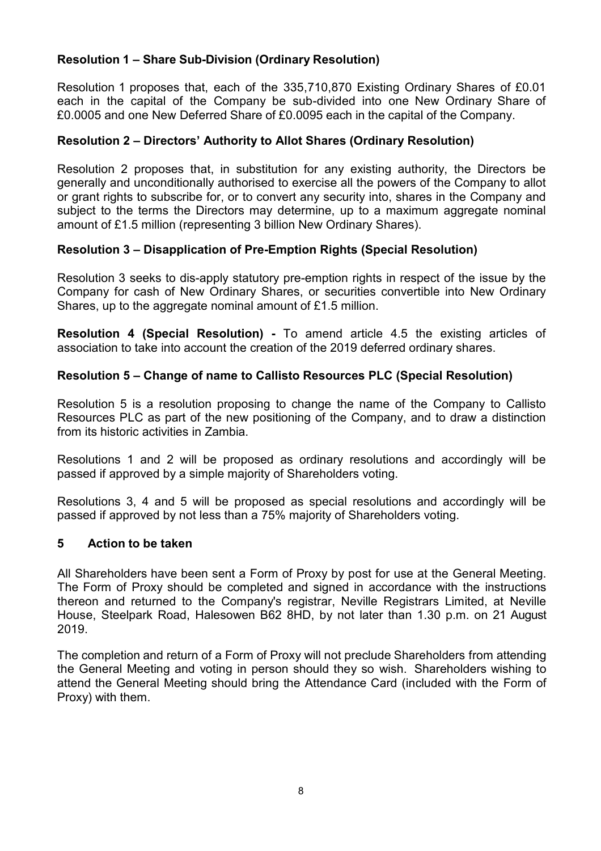## **Resolution 1 – Share Sub-Division (Ordinary Resolution)**

Resolution 1 proposes that, each of the 335,710,870 Existing Ordinary Shares of £0.01 each in the capital of the Company be sub-divided into one New Ordinary Share of £0.0005 and one New Deferred Share of £0.0095 each in the capital of the Company.

### **Resolution 2 – Directors' Authority to Allot Shares (Ordinary Resolution)**

Resolution 2 proposes that, in substitution for any existing authority, the Directors be generally and unconditionally authorised to exercise all the powers of the Company to allot or grant rights to subscribe for, or to convert any security into, shares in the Company and subject to the terms the Directors may determine, up to a maximum aggregate nominal amount of £1.5 million (representing 3 billion New Ordinary Shares).

#### **Resolution 3 – Disapplication of Pre-Emption Rights (Special Resolution)**

Resolution 3 seeks to dis-apply statutory pre-emption rights in respect of the issue by the Company for cash of New Ordinary Shares, or securities convertible into New Ordinary Shares, up to the aggregate nominal amount of £1.5 million.

**Resolution 4 (Special Resolution) -** To amend article 4.5 the existing articles of association to take into account the creation of the 2019 deferred ordinary shares.

#### **Resolution 5 – Change of name to Callisto Resources PLC (Special Resolution)**

Resolution 5 is a resolution proposing to change the name of the Company to Callisto Resources PLC as part of the new positioning of the Company, and to draw a distinction from its historic activities in Zambia.

Resolutions 1 and 2 will be proposed as ordinary resolutions and accordingly will be passed if approved by a simple majority of Shareholders voting.

Resolutions 3, 4 and 5 will be proposed as special resolutions and accordingly will be passed if approved by not less than a 75% majority of Shareholders voting.

#### **5 Action to be taken**

All Shareholders have been sent a Form of Proxy by post for use at the General Meeting. The Form of Proxy should be completed and signed in accordance with the instructions thereon and returned to the Company's registrar, Neville Registrars Limited, at Neville House, Steelpark Road, Halesowen B62 8HD, by not later than 1.30 p.m. on 21 August 2019.

The completion and return of a Form of Proxy will not preclude Shareholders from attending the General Meeting and voting in person should they so wish. Shareholders wishing to attend the General Meeting should bring the Attendance Card (included with the Form of Proxy) with them.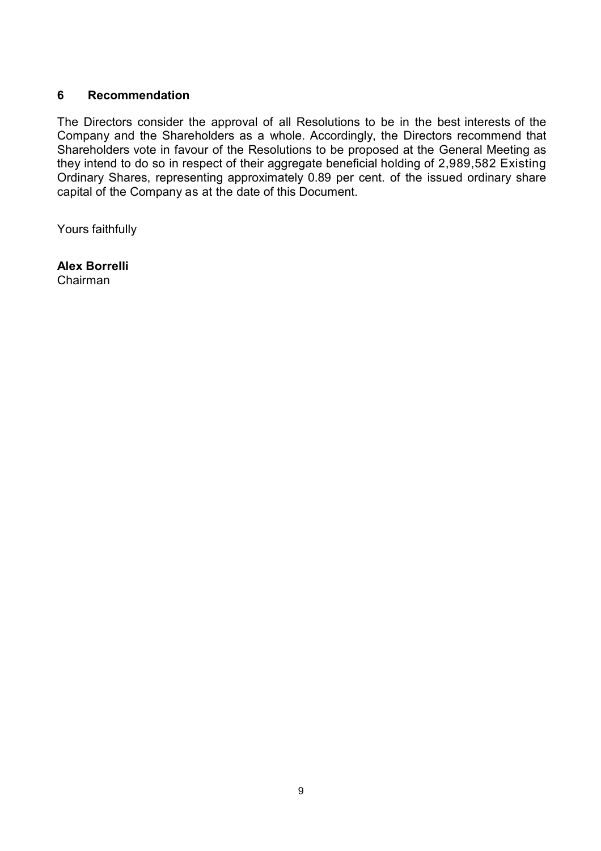#### **6 Recommendation**

The Directors consider the approval of all Resolutions to be in the best interests of the Company and the Shareholders as a whole. Accordingly, the Directors recommend that Shareholders vote in favour of the Resolutions to be proposed at the General Meeting as they intend to do so in respect of their aggregate beneficial holding of 2,989,582 Existing Ordinary Shares, representing approximately 0.89 per cent. of the issued ordinary share capital of the Company as at the date of this Document.

Yours faithfully

**Alex Borrelli** Chairman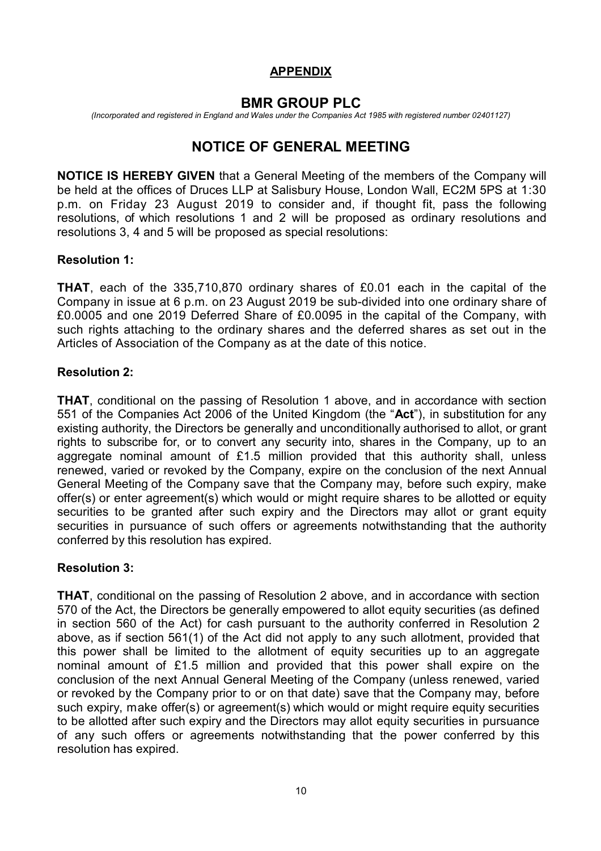## **APPENDIX**

# **BMR GROUP PLC**

*(Incorporated and registered in England and Wales under the Companies Act 1985 with registered number 02401127)*

# **NOTICE OF GENERAL MEETING**

**NOTICE IS HEREBY GIVEN** that a General Meeting of the members of the Company will be held at the offices of Druces LLP at Salisbury House, London Wall, EC2M 5PS at 1:30 p.m. on Friday 23 August 2019 to consider and, if thought fit, pass the following resolutions, of which resolutions 1 and 2 will be proposed as ordinary resolutions and resolutions 3, 4 and 5 will be proposed as special resolutions:

### **Resolution 1:**

**THAT**, each of the 335,710,870 ordinary shares of £0.01 each in the capital of the Company in issue at 6 p.m. on 23 August 2019 be sub-divided into one ordinary share of £0.0005 and one 2019 Deferred Share of £0.0095 in the capital of the Company, with such rights attaching to the ordinary shares and the deferred shares as set out in the Articles of Association of the Company as at the date of this notice.

## **Resolution 2:**

**THAT**, conditional on the passing of Resolution 1 above, and in accordance with section 551 of the Companies Act 2006 of the United Kingdom (the "**Act**"), in substitution for any existing authority, the Directors be generally and unconditionally authorised to allot, or grant rights to subscribe for, or to convert any security into, shares in the Company, up to an aggregate nominal amount of £1.5 million provided that this authority shall, unless renewed, varied or revoked by the Company, expire on the conclusion of the next Annual General Meeting of the Company save that the Company may, before such expiry, make offer(s) or enter agreement(s) which would or might require shares to be allotted or equity securities to be granted after such expiry and the Directors may allot or grant equity securities in pursuance of such offers or agreements notwithstanding that the authority conferred by this resolution has expired.

## **Resolution 3:**

**THAT**, conditional on the passing of Resolution 2 above, and in accordance with section 570 of the Act, the Directors be generally empowered to allot equity securities (as defined in section 560 of the Act) for cash pursuant to the authority conferred in Resolution 2 above, as if section 561(1) of the Act did not apply to any such allotment, provided that this power shall be limited to the allotment of equity securities up to an aggregate nominal amount of £1.5 million and provided that this power shall expire on the conclusion of the next Annual General Meeting of the Company (unless renewed, varied or revoked by the Company prior to or on that date) save that the Company may, before such expiry, make offer(s) or agreement(s) which would or might require equity securities to be allotted after such expiry and the Directors may allot equity securities in pursuance of any such offers or agreements notwithstanding that the power conferred by this resolution has expired.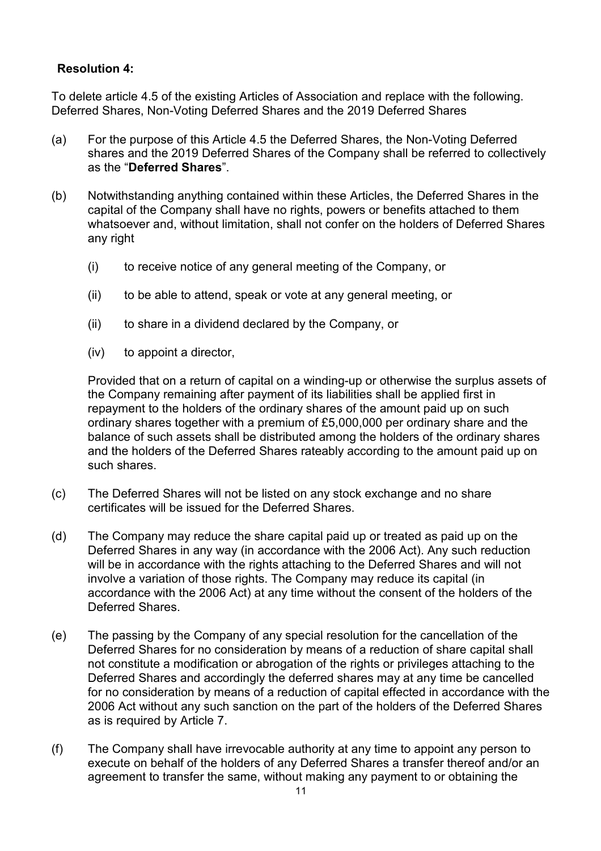### **Resolution 4:**

To delete article 4.5 of the existing Articles of Association and replace with the following. Deferred Shares, Non-Voting Deferred Shares and the 2019 Deferred Shares

- (a) For the purpose of this Article 4.5 the Deferred Shares, the Non-Voting Deferred shares and the 2019 Deferred Shares of the Company shall be referred to collectively as the "**Deferred Shares**".
- (b) Notwithstanding anything contained within these Articles, the Deferred Shares in the capital of the Company shall have no rights, powers or benefits attached to them whatsoever and, without limitation, shall not confer on the holders of Deferred Shares any right
	- (i) to receive notice of any general meeting of the Company, or
	- (ii) to be able to attend, speak or vote at any general meeting, or
	- (ii) to share in a dividend declared by the Company, or
	- (iv) to appoint a director,

 Provided that on a return of capital on a winding-up or otherwise the surplus assets of the Company remaining after payment of its liabilities shall be applied first in repayment to the holders of the ordinary shares of the amount paid up on such ordinary shares together with a premium of £5,000,000 per ordinary share and the balance of such assets shall be distributed among the holders of the ordinary shares and the holders of the Deferred Shares rateably according to the amount paid up on such shares.

- (c) The Deferred Shares will not be listed on any stock exchange and no share certificates will be issued for the Deferred Shares.
- (d) The Company may reduce the share capital paid up or treated as paid up on the Deferred Shares in any way (in accordance with the 2006 Act). Any such reduction will be in accordance with the rights attaching to the Deferred Shares and will not involve a variation of those rights. The Company may reduce its capital (in accordance with the 2006 Act) at any time without the consent of the holders of the Deferred Shares.
- (e) The passing by the Company of any special resolution for the cancellation of the Deferred Shares for no consideration by means of a reduction of share capital shall not constitute a modification or abrogation of the rights or privileges attaching to the Deferred Shares and accordingly the deferred shares may at any time be cancelled for no consideration by means of a reduction of capital effected in accordance with the 2006 Act without any such sanction on the part of the holders of the Deferred Shares as is required by Article 7.
- (f) The Company shall have irrevocable authority at any time to appoint any person to execute on behalf of the holders of any Deferred Shares a transfer thereof and/or an agreement to transfer the same, without making any payment to or obtaining the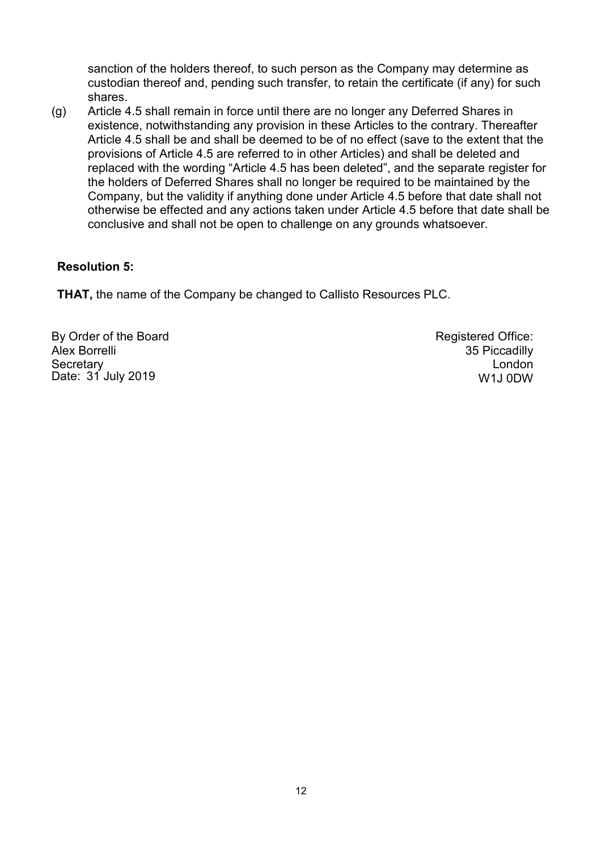sanction of the holders thereof, to such person as the Company may determine as custodian thereof and, pending such transfer, to retain the certificate (if any) for such shares.

(g) Article 4.5 shall remain in force until there are no longer any Deferred Shares in existence, notwithstanding any provision in these Articles to the contrary. Thereafter Article 4.5 shall be and shall be deemed to be of no effect (save to the extent that the provisions of Article 4.5 are referred to in other Articles) and shall be deleted and replaced with the wording "Article 4.5 has been deleted", and the separate register for the holders of Deferred Shares shall no longer be required to be maintained by the Company, but the validity if anything done under Article 4.5 before that date shall not otherwise be effected and any actions taken under Article 4.5 before that date shall be conclusive and shall not be open to challenge on any grounds whatsoever.

### **Resolution 5:**

**THAT,** the name of the Company be changed to Callisto Resources PLC.

By Order of the Board Alex Borrelli **Secretary** Date: 31 July 2019

Registered Office: 35 Piccadilly London W1J 0DW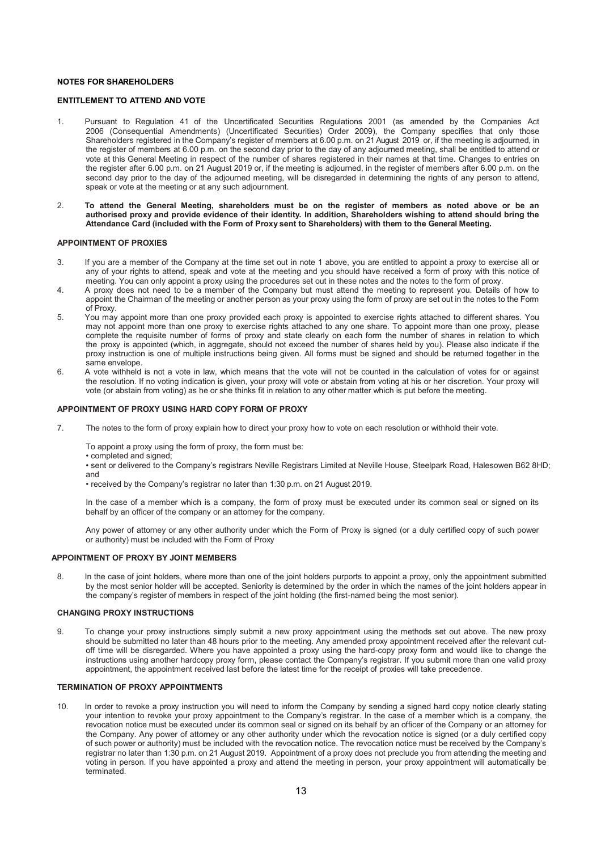#### **NOTES FOR SHAREHOLDERS**

#### **ENTITLEMENT TO ATTEND AND VOTE**

- 1. Pursuant to Regulation 41 of the Uncertificated Securities Regulations 2001 (as amended by the Companies Act 2006 (Consequential Amendments) (Uncertificated Securities) Order 2009), the Company specifies that only those Shareholders registered in the Company's register of members at 6.00 p.m. on 21 August 2019 or, if the meeting is adjourned, in the register of members at 6.00 p.m. on the second day prior to the day of any adjourned meeting, shall be entitled to attend or vote at this General Meeting in respect of the number of shares registered in their names at that time. Changes to entries on the register after 6.00 p.m. on 21 August 2019 or, if the meeting is adjourned, in the register of members after 6.00 p.m. on the second day prior to the day of the adjourned meeting, will be disregarded in determining the rights of any person to attend, speak or vote at the meeting or at any such adjournment.
- 2. **To attend the General Meeting, shareholders must be on the register of members as noted above or be an authorised proxy and provide evidence of their identity. In addition, Shareholders wishing to attend should bring the Attendance Card (included with the Form of Proxy sent to Shareholders) with them to the General Meeting.**

#### **APPOINTMENT OF PROXIES**

- 3. If you are a member of the Company at the time set out in note 1 above, you are entitled to appoint a proxy to exercise all or any of your rights to attend, speak and vote at the meeting and you should have received a form of proxy with this notice of meeting. You can only appoint a proxy using the procedures set out in these notes and the notes to the form of proxy.
- 4. A proxy does not need to be a member of the Company but must attend the meeting to represent you. Details of how to appoint the Chairman of the meeting or another person as your proxy using the form of proxy are set out in the notes to the Form of Proxy.
- 5. You may appoint more than one proxy provided each proxy is appointed to exercise rights attached to different shares. You may not appoint more than one proxy to exercise rights attached to any one share. To appoint more than one proxy, please complete the requisite number of forms of proxy and state clearly on each form the number of shares in relation to which the proxy is appointed (which, in aggregate, should not exceed the number of shares held by you). Please also indicate if the proxy instruction is one of multiple instructions being given. All forms must be signed and should be returned together in the same envelope.
- 6. A vote withheld is not a vote in law, which means that the vote will not be counted in the calculation of votes for or against the resolution. If no voting indication is given, your proxy will vote or abstain from voting at his or her discretion. Your proxy will vote (or abstain from voting) as he or she thinks fit in relation to any other matter which is put before the meeting.

#### **APPOINTMENT OF PROXY USING HARD COPY FORM OF PROXY**

7. The notes to the form of proxy explain how to direct your proxy how to vote on each resolution or withhold their vote.

To appoint a proxy using the form of proxy, the form must be:

• completed and signed;

• sent or delivered to the Company's registrars Neville Registrars Limited at Neville House, Steelpark Road, Halesowen B62 8HD; and

• received by the Company's registrar no later than 1:30 p.m. on 21 August 2019.

In the case of a member which is a company, the form of proxy must be executed under its common seal or signed on its behalf by an officer of the company or an attorney for the company.

Any power of attorney or any other authority under which the Form of Proxy is signed (or a duly certified copy of such power or authority) must be included with the Form of Proxy

#### **APPOINTMENT OF PROXY BY JOINT MEMBERS**

8. In the case of joint holders, where more than one of the joint holders purports to appoint a proxy, only the appointment submitted by the most senior holder will be accepted. Seniority is determined by the order in which the names of the joint holders appear in the company's register of members in respect of the joint holding (the first-named being the most senior).

#### **CHANGING PROXY INSTRUCTIONS**

9. To change your proxy instructions simply submit a new proxy appointment using the methods set out above. The new proxy should be submitted no later than 48 hours prior to the meeting. Any amended proxy appointment received after the relevant cutoff time will be disregarded. Where you have appointed a proxy using the hard-copy proxy form and would like to change the instructions using another hardcopy proxy form, please contact the Company's registrar. If you submit more than one valid proxy appointment, the appointment received last before the latest time for the receipt of proxies will take precedence.

#### **TERMINATION OF PROXY APPOINTMENTS**

10. In order to revoke a proxy instruction you will need to inform the Company by sending a signed hard copy notice clearly stating your intention to revoke your proxy appointment to the Company's registrar. In the case of a member which is a company, the revocation notice must be executed under its common seal or signed on its behalf by an officer of the Company or an attorney for the Company. Any power of attorney or any other authority under which the revocation notice is signed (or a duly certified copy of such power or authority) must be included with the revocation notice. The revocation notice must be received by the Company's registrar no later than 1:30 p.m. on 21 August 2019. Appointment of a proxy does not preclude you from attending the meeting and voting in person. If you have appointed a proxy and attend the meeting in person, your proxy appointment will automatically be terminated.